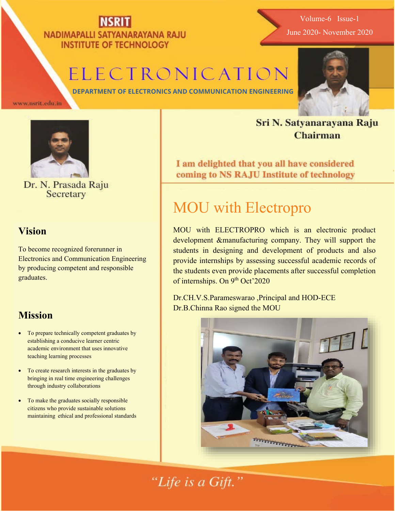#### NADIMAPALLI SATYANARAYANA RAJU **INSTITUTE OF TECHNOLOGY**

## ELECTRONICATION

Sri N. Satyanarayana Raju **Chairman** 

**DEPARTMENT OF ELECTRONICS AND COMMUNICATION ENGINEERING**

www.nsrit.edu.in



Dr. N. Prasada Raju Secretary

#### **Vision**

To become recognized forerunner in Electronics and Communication Engineering by producing competent and responsible graduates.

#### **Mission**

- To prepare technically competent graduates by establishing a conducive learner centric academic environment that uses innovative teaching learning processes
- To create research interests in the graduates by bringing in real time engineering challenges through industry collaborations
- To make the graduates socially responsible citizens who provide sustainable solutions maintaining ethical and professional standards

I am delighted that you all have considered coming to NS RAJU Institute of technology

### MOU with Electropro

MOU with ELECTROPRO which is an electronic product development &manufacturing company. They will support the students in designing and development of products and also provide internships by assessing successful academic records of the students even provide placements after successful completion of internships. On 9<sup>th</sup> Oct'2020

Dr.CH.V.S.Parameswarao ,Principal and HOD-ECE Dr.B.Chinna Rao signed the MOU



"Life is a Gift."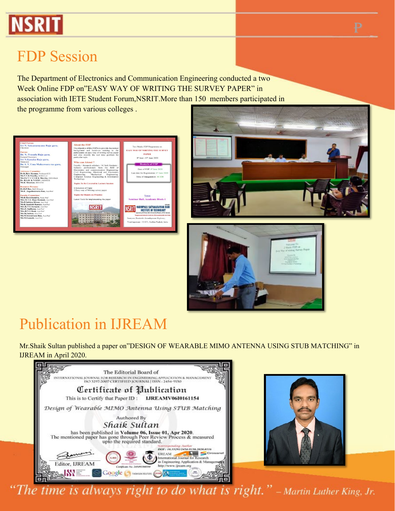

#### FDP Session

The Department of Electronics and Communication Engineering conducted a two Week Online FDP on"EASY WAY OF WRITING THE SURVEY PAPER" in association with IETE Student Forum,NSRIT.More than 150 members participated in the programme from various colleges .







### Publication in IJREAM

Mr.Shaik Sultan published a paper on"DESIGN OF WEARABLE MIMO ANTENNA USING STUB MATCHING" in IJREAM in April 2020.





The time is always right to do what is right."  $-$  Martin Luther King, Jr.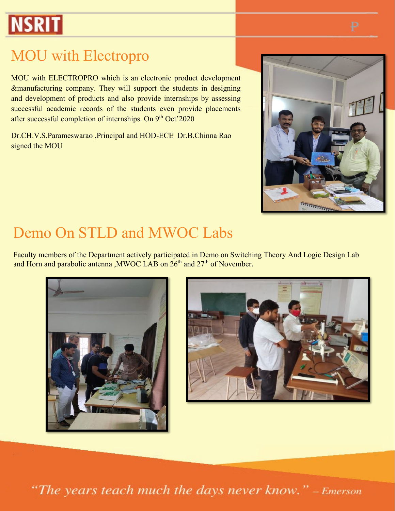# **NSRIT**

### MOU with Electropro

MOU with ELECTROPRO which is an electronic product development &manufacturing company. They will support the students in designing and development of products and also provide internships by assessing successful academic records of the students even provide placements after successful completion of internships. On 9<sup>th</sup> Oct'2020

Dr.CH.V.S.Parameswarao ,Principal and HOD-ECE Dr.B.Chinna Rao signed the MOU



#### Demo On STLD and MWOC Labs

Faculty members of the Department actively participated in Demo on Switching Theory And Logic Design Lab and Horn and parabolic antenna , MWOC LAB on 26<sup>th</sup> and 27<sup>th</sup> of November.





"The years teach much the days never know." - Emerson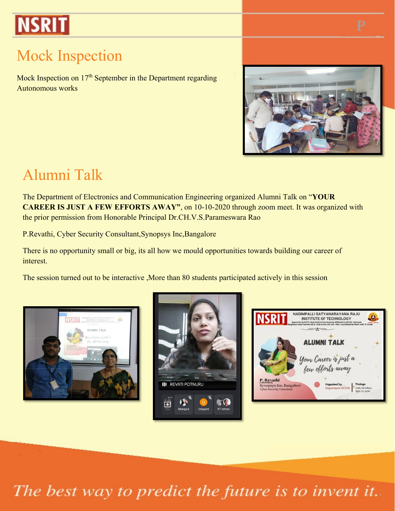# **NSRIT**

### Mock Inspection

Mock Inspection on  $17<sup>th</sup>$  September in the Department regarding Autonomous works



#### Alumni Talk

The Department of Electronics and Communication Engineering organized Alumni Talk on "**YOUR CAREER IS JUST A FEW EFFORTS AWAY"**, on 10-10-2020 through zoom meet. It was organized with the prior permission from Honorable Principal Dr.CH.V.S.Parameswara Rao

P.Revathi, Cyber Security Consultant,Synopsys Inc,Bangalore

There is no opportunity small or big, its all how we mould opportunities towards building our career of interest.

The session turned out to be interactive ,More than 80 students participated actively in this session





| <b>NSRIT</b>                                                                     | NADIMPALLI SATYANARAYANA RAJU<br><b>INSTITUTE OF TECHNOLOGY</b><br>Approved by AICTE, New Delhi & Permanently Affiliated to JNTUK, Kakinada<br>Recenized under Section 2(f) & 12(B) of the UGC Act, 1956   Accredited by NAAC with 'A' Grade | CGPA 1,1844.00 |
|----------------------------------------------------------------------------------|----------------------------------------------------------------------------------------------------------------------------------------------------------------------------------------------------------------------------------------------|----------------|
|                                                                                  | <b>ALUMNI TALK</b>                                                                                                                                                                                                                           |                |
|                                                                                  | Your Career is just a<br>few efforts away                                                                                                                                                                                                    |                |
| P. Revathi<br><b>Synopsys Inc, Bangalore</b><br><b>Cyber Security Consultant</b> | <b>Timings</b><br>Organised by,<br>Department Of ECE.<br>3pm to 4pm                                                                                                                                                                          | 10th October,  |

The best way to predict the future is to invent it.